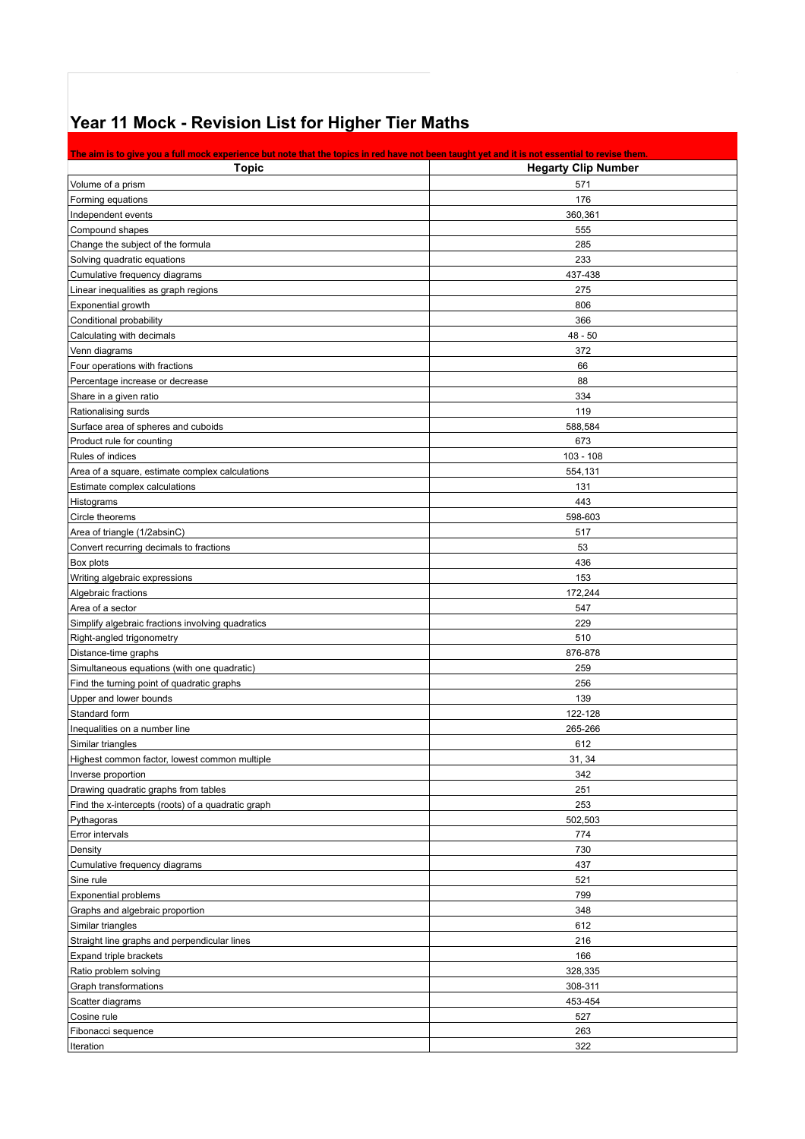## **Year 11 Mock - Revision List for Higher Tier Maths**

| The aim is to give you a full mock experience but note that the topics in red have not been taught yet and it is not essential to revise them. |                            |
|------------------------------------------------------------------------------------------------------------------------------------------------|----------------------------|
| <b>Topic</b>                                                                                                                                   | <b>Hegarty Clip Number</b> |
| Volume of a prism                                                                                                                              | 571                        |
| Forming equations                                                                                                                              | 176                        |
| Independent events                                                                                                                             | 360,361                    |
| Compound shapes                                                                                                                                | 555                        |
| Change the subject of the formula                                                                                                              | 285                        |
| Solving quadratic equations                                                                                                                    | 233                        |
| Cumulative frequency diagrams                                                                                                                  | 437-438                    |
| Linear inequalities as graph regions                                                                                                           | 275                        |
| Exponential growth                                                                                                                             | 806                        |
| Conditional probability                                                                                                                        | 366                        |
| Calculating with decimals                                                                                                                      | $48 - 50$                  |
| Venn diagrams                                                                                                                                  | 372                        |
| Four operations with fractions                                                                                                                 | 66                         |
| Percentage increase or decrease                                                                                                                | 88                         |
| Share in a given ratio                                                                                                                         | 334                        |
| Rationalising surds                                                                                                                            | 119                        |
| Surface area of spheres and cuboids                                                                                                            | 588,584                    |
| Product rule for counting                                                                                                                      | 673                        |
| Rules of indices                                                                                                                               | $103 - 108$                |
| Area of a square, estimate complex calculations                                                                                                | 554,131                    |
| Estimate complex calculations                                                                                                                  | 131                        |
| Histograms                                                                                                                                     | 443                        |
| Circle theorems                                                                                                                                | 598-603                    |
| Area of triangle (1/2absinC)                                                                                                                   | 517                        |
| Convert recurring decimals to fractions                                                                                                        | 53                         |
| Box plots                                                                                                                                      | 436                        |
| Writing algebraic expressions                                                                                                                  | 153                        |
| Algebraic fractions                                                                                                                            | 172,244                    |
| Area of a sector                                                                                                                               | 547                        |
| Simplify algebraic fractions involving quadratics                                                                                              | 229                        |
| Right-angled trigonometry                                                                                                                      | 510                        |
| Distance-time graphs                                                                                                                           | 876-878                    |
| Simultaneous equations (with one quadratic)                                                                                                    | 259                        |
| Find the turning point of quadratic graphs                                                                                                     | 256                        |
| Upper and lower bounds                                                                                                                         | 139                        |
| Standard form                                                                                                                                  | 122-128                    |
| Inequalities on a number line                                                                                                                  | 265-266                    |
| Similar triangles                                                                                                                              | 612                        |
| Highest common factor, lowest common multiple                                                                                                  | 31, 34                     |
| Inverse proportion                                                                                                                             | 342                        |
| Drawing quadratic graphs from tables                                                                                                           | 251                        |
| Find the x-intercepts (roots) of a quadratic graph                                                                                             | 253                        |
| Pythagoras                                                                                                                                     | 502,503                    |
| Error intervals                                                                                                                                | 774                        |
| Density                                                                                                                                        | 730                        |
| Cumulative frequency diagrams                                                                                                                  | 437                        |
| Sine rule                                                                                                                                      | 521                        |
| <b>Exponential problems</b>                                                                                                                    | 799                        |
| Graphs and algebraic proportion                                                                                                                | 348                        |
| Similar triangles                                                                                                                              | 612                        |
| Straight line graphs and perpendicular lines                                                                                                   | 216                        |
| Expand triple brackets                                                                                                                         | 166                        |
| Ratio problem solving                                                                                                                          | 328,335                    |
| Graph transformations                                                                                                                          | 308-311                    |
| Scatter diagrams                                                                                                                               | 453-454                    |
| Cosine rule                                                                                                                                    | 527                        |
| Fibonacci sequence                                                                                                                             | 263                        |
| Iteration                                                                                                                                      | 322                        |